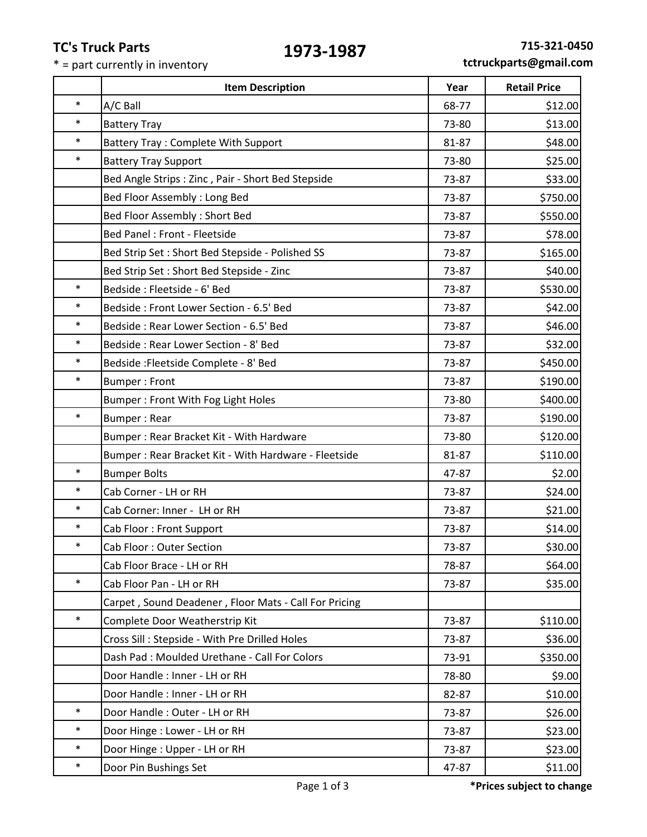## **TC's Truck Parts**

т

٦

 $\overline{\phantom{0}}$ 

\* = part currently in inventory

|        | <b>Item Description</b>                               | Year  | <b>Retail Price</b> |
|--------|-------------------------------------------------------|-------|---------------------|
| *      | A/C Ball                                              | 68-77 | \$12.00             |
| *      | <b>Battery Tray</b>                                   | 73-80 | \$13.00             |
| *      | Battery Tray: Complete With Support                   | 81-87 | \$48.00             |
| *      | <b>Battery Tray Support</b>                           | 73-80 | \$25.00             |
|        | Bed Angle Strips: Zinc, Pair - Short Bed Stepside     | 73-87 | \$33.00             |
|        | Bed Floor Assembly: Long Bed                          | 73-87 | \$750.00            |
|        | Bed Floor Assembly: Short Bed                         | 73-87 | \$550.00            |
|        | Bed Panel : Front - Fleetside                         | 73-87 | \$78.00             |
|        | Bed Strip Set : Short Bed Stepside - Polished SS      | 73-87 | \$165.00            |
|        | Bed Strip Set : Short Bed Stepside - Zinc             | 73-87 | \$40.00             |
| ×      | Bedside: Fleetside - 6' Bed                           | 73-87 | \$530.00            |
| *      | Bedside: Front Lower Section - 6.5' Bed               | 73-87 | \$42.00             |
| *      | Bedside: Rear Lower Section - 6.5' Bed                | 73-87 | \$46.00             |
| $\ast$ | Bedside: Rear Lower Section - 8' Bed                  | 73-87 | \$32.00             |
| $\ast$ | Bedside: Fleetside Complete - 8' Bed                  | 73-87 | \$450.00            |
| $\ast$ | <b>Bumper: Front</b>                                  | 73-87 | \$190.00            |
|        | Bumper: Front With Fog Light Holes                    | 73-80 | \$400.00            |
| *      | <b>Bumper: Rear</b>                                   | 73-87 | \$190.00            |
|        | Bumper: Rear Bracket Kit - With Hardware              | 73-80 | \$120.00            |
|        | Bumper: Rear Bracket Kit - With Hardware - Fleetside  | 81-87 | \$110.00            |
| $\ast$ | <b>Bumper Bolts</b>                                   | 47-87 | \$2.00              |
| *      | Cab Corner - LH or RH                                 | 73-87 | \$24.00             |
| *      | Cab Corner: Inner - LH or RH                          | 73-87 | \$21.00             |
| $\ast$ | Cab Floor: Front Support                              | 73-87 | \$14.00             |
| $\ast$ | Cab Floor: Outer Section                              | 73-87 | \$30.00             |
|        | Cab Floor Brace - LH or RH                            | 78-87 | \$64.00             |
| *      | Cab Floor Pan - LH or RH                              | 73-87 | \$35.00             |
|        | Carpet, Sound Deadener, Floor Mats - Call For Pricing |       |                     |
| $\ast$ | Complete Door Weatherstrip Kit                        | 73-87 | \$110.00            |
|        | Cross Sill: Stepside - With Pre Drilled Holes         | 73-87 | \$36.00             |
|        | Dash Pad: Moulded Urethane - Call For Colors          | 73-91 | \$350.00            |
|        | Door Handle: Inner - LH or RH                         | 78-80 | \$9.00              |
|        | Door Handle: Inner - LH or RH                         | 82-87 | \$10.00             |
| *      | Door Handle: Outer - LH or RH                         | 73-87 | \$26.00             |
| $\ast$ | Door Hinge: Lower - LH or RH                          | 73-87 | \$23.00             |
| *      | Door Hinge: Upper - LH or RH                          | 73-87 | \$23.00             |
| *      | Door Pin Bushings Set                                 | 47-87 | \$11.00             |
|        |                                                       |       |                     |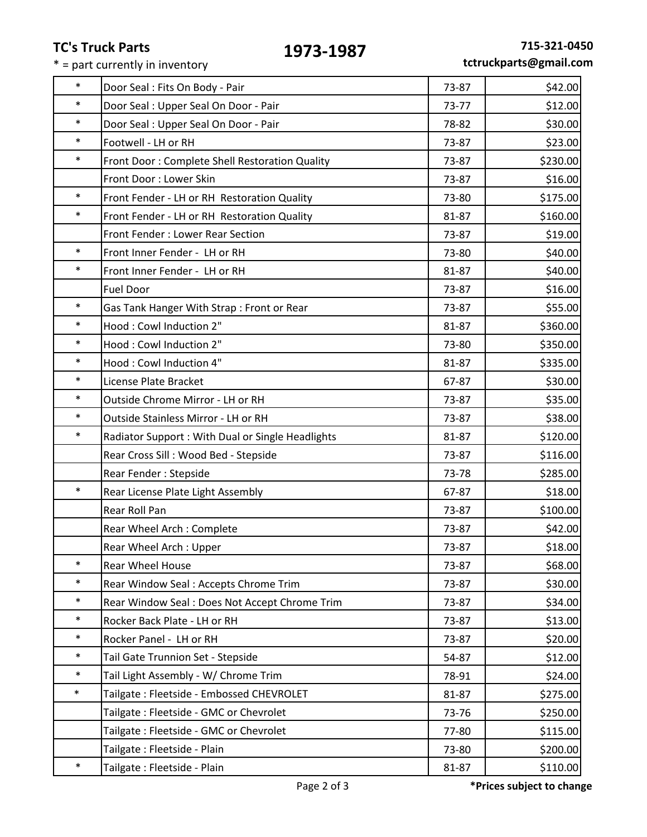# **TC's Truck Parts**

 $* =$  part currently in inventory

| $\ast$ | Door Seal: Fits On Body - Pair                    | 73-87 | \$42.00  |
|--------|---------------------------------------------------|-------|----------|
| $\ast$ | Door Seal: Upper Seal On Door - Pair              | 73-77 | \$12.00  |
| $\ast$ | Door Seal: Upper Seal On Door - Pair              | 78-82 | \$30.00  |
| $\ast$ | Footwell - LH or RH                               | 73-87 | \$23.00  |
| $\ast$ | Front Door: Complete Shell Restoration Quality    | 73-87 | \$230.00 |
|        | Front Door: Lower Skin                            | 73-87 | \$16.00  |
| $\ast$ | Front Fender - LH or RH Restoration Quality       | 73-80 | \$175.00 |
| $\ast$ | Front Fender - LH or RH Restoration Quality       | 81-87 | \$160.00 |
|        | Front Fender: Lower Rear Section                  | 73-87 | \$19.00  |
| $\ast$ | Front Inner Fender - LH or RH                     | 73-80 | \$40.00  |
| $\ast$ | Front Inner Fender - LH or RH                     | 81-87 | \$40.00  |
|        | <b>Fuel Door</b>                                  | 73-87 | \$16.00  |
| $\ast$ | Gas Tank Hanger With Strap: Front or Rear         | 73-87 | \$55.00  |
| $\ast$ | Hood: Cowl Induction 2"                           | 81-87 | \$360.00 |
| $\ast$ | Hood: Cowl Induction 2"                           | 73-80 | \$350.00 |
| $\ast$ | Hood: Cowl Induction 4"                           | 81-87 | \$335.00 |
| $\ast$ | License Plate Bracket                             | 67-87 | \$30.00  |
| $\ast$ | Outside Chrome Mirror - LH or RH                  | 73-87 | \$35.00  |
| $\ast$ | Outside Stainless Mirror - LH or RH               | 73-87 | \$38.00  |
| $\ast$ | Radiator Support : With Dual or Single Headlights | 81-87 | \$120.00 |
|        | Rear Cross Sill : Wood Bed - Stepside             | 73-87 | \$116.00 |
|        | Rear Fender: Stepside                             | 73-78 | \$285.00 |
| $\ast$ | Rear License Plate Light Assembly                 | 67-87 | \$18.00  |
|        | Rear Roll Pan                                     | 73-87 | \$100.00 |
|        | Rear Wheel Arch: Complete                         | 73-87 | \$42.00  |
|        | Rear Wheel Arch: Upper                            | 73-87 | \$18.00  |
| $\ast$ | <b>Rear Wheel House</b>                           | 73-87 | \$68.00  |
| $\ast$ | Rear Window Seal: Accepts Chrome Trim             | 73-87 | \$30.00  |
| $\ast$ | Rear Window Seal: Does Not Accept Chrome Trim     | 73-87 | \$34.00  |
| $\ast$ | Rocker Back Plate - LH or RH                      | 73-87 | \$13.00  |
| $\ast$ | Rocker Panel - LH or RH                           | 73-87 | \$20.00  |
| $\ast$ | Tail Gate Trunnion Set - Stepside                 | 54-87 | \$12.00  |
| $\ast$ | Tail Light Assembly - W/ Chrome Trim              | 78-91 | \$24.00  |
| $\ast$ | Tailgate: Fleetside - Embossed CHEVROLET          | 81-87 | \$275.00 |
|        | Tailgate: Fleetside - GMC or Chevrolet            | 73-76 | \$250.00 |
|        | Tailgate: Fleetside - GMC or Chevrolet            | 77-80 | \$115.00 |
|        | Tailgate: Fleetside - Plain                       | 73-80 | \$200.00 |
| $\ast$ | Tailgate: Fleetside - Plain                       | 81-87 | \$110.00 |